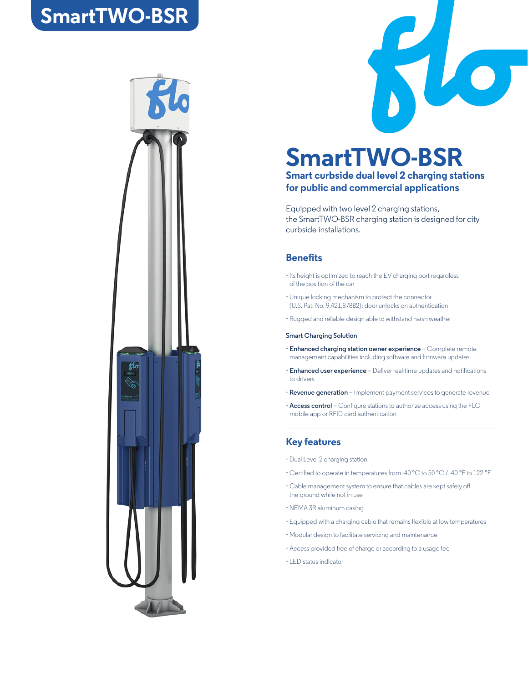## **SmartTWO-BSR**





## **SmartTWO-BSR**

#### **Smart curbside dual level 2 charging stations for public and commercial applications**

Equipped with two level 2 charging stations, the SmartTWO-BSR charging station is designed for city curbside installations.

#### **Benefits**

- Its height is optimized to reach the EV charging port regardless of the position of the car
- Unique locking mechanism to protect the connector (U.S. Pat. No. 9,421,878B2); door unlocks on authentication
- Rugged and reliable design able to withstand harsh weather

#### **Smart Charging Solution**

- **Enhanced charging station owner experience**  Complete remote management capabilities including software and firmware updates
- **Enhanced user experience** Deliver real-time updates and notifications to drivers
- **Revenue generation**  Implement payment services to generate revenue
- **Access control** Configure stations to authorize access using the FLO mobile app or RFID card authentication

#### **Key features**

- Dual Level 2 charging station
- Certified to operate in temperatures from -40 °C to 50 °C / -40 °F to 122 °F
- Cable management system to ensure that cables are kept safely off the ground while not in use
- NEMA 3R aluminum casing
- Equipped with a charging cable that remains flexible at low temperatures
- Modular design to facilitate servicing and maintenance
- Access provided free of charge or according to a usage fee
- LED status indicator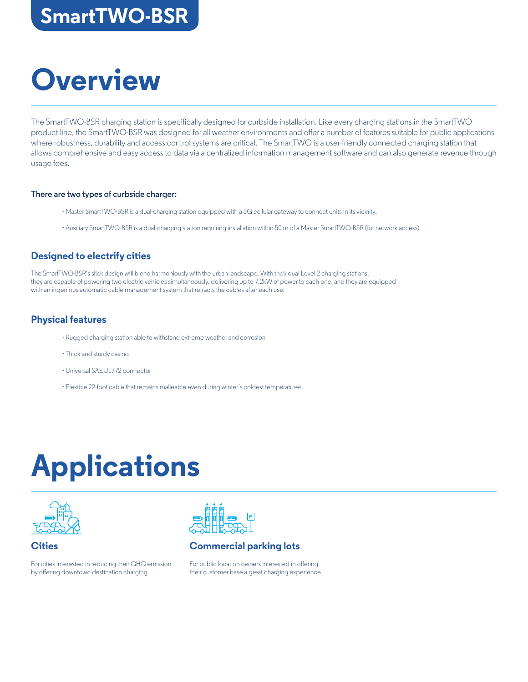## **SmartTWO-BSR**

## **Overview**

The SmartTWO-BSR charging station is specifically designed for curbside installation. Like every charging stations in the SmartTWO product line, the SmartTWO-BSR was designed for all weather environments and offer a number of features suitable for public applications where robustness, durability and access control systems are critical. The SmartTWO is a user-friendly connected charging station that allows comprehensive and easy access to data via a centralized information management software and can also generate revenue through usage fees.

#### **There are two types of curbside charger:**

- Master SmartTWO-BSR is a dual-charging station equipped with a 3G cellular gateway to connect units in its vicinity.
- Auxiliary SmartTWO-BSR is a dual-charging station requiring installation within 50 m of a Master SmartTWO-BSR (for network access).

### **Designed to electrify cities**

The SmartTWO-BSR's slick design will blend harmoniously with the urban landscape. With their dual Level 2 charging stations, they are capable of powering two electric vehicles simultaneously, delivering up to 7.2kW of power to each one, and they are equipped with an ingenious automatic cable management system that retracts the cables after each use.

#### **Physical features**

- Rugged charging station able to withstand extreme weather and corrosion
- Thick and sturdy casing
- Universal SAE J1772 connector
- Flexible 22-foot cable that remains malleable even during winter's coldest temperatures

# **Applications**





### **Commercial parking lots**

For public location owners interested in offering their customer base a great charging experience

### **Cities**

For cities interested in reducing their GHG emission by offering downtown destination charging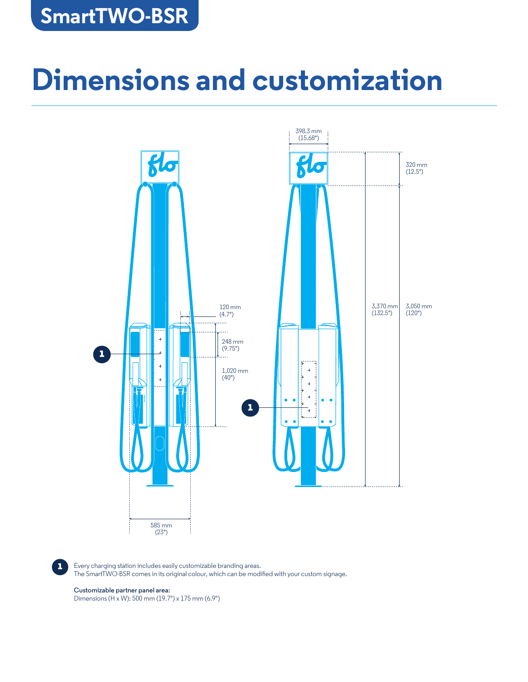## **SmartTWO-BSR**

# **Dimensions and customization**



**1** Every charging station includes easily customizable branding areas. The SmartTWO-BSR comes in its original colour, which can be modified with your custom signage.

#### **Customizable partner panel area:**

Dimensions (H x W): 500 mm (19.7") x 175 mm (6.9")